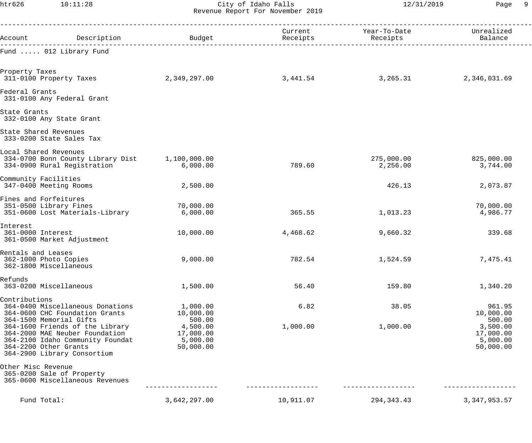htr626 10:11:28 City of Idaho Falls 12/31/2019 Page 9 Revenue Report For November 2019

| Account Description Description Budget                                                                                                                                                   |                                                          | Receipts  | Current                   Year-To-Date                    Unrealized | Balance                                                  |
|------------------------------------------------------------------------------------------------------------------------------------------------------------------------------------------|----------------------------------------------------------|-----------|----------------------------------------------------------------------|----------------------------------------------------------|
| Fund  012 Library Fund                                                                                                                                                                   |                                                          |           |                                                                      |                                                          |
| Property Taxes<br>311-0100 Property Taxes                                                                                                                                                | 2,349,297.00                                             | 3,441.54  | 3,265.31                                                             | 2,346,031.69                                             |
| Federal Grants<br>331-0100 Any Federal Grant                                                                                                                                             |                                                          |           |                                                                      |                                                          |
| State Grants<br>332-0100 Any State Grant                                                                                                                                                 |                                                          |           |                                                                      |                                                          |
| State Shared Revenues<br>333-0200 State Sales Tax                                                                                                                                        |                                                          |           |                                                                      |                                                          |
| Local Shared Revenues<br>334-0700 Bonn County Library Dist 1,100,000.00<br>334-0900 Rural Registration                                                                                   | 6,000.00                                                 | 789.60    | 275,000.00<br>2,256.00                                               | 825,000.00<br>3,744.00                                   |
| Community Facilities<br>347-0400 Meeting Rooms                                                                                                                                           | 2,500.00                                                 |           | 426.13                                                               | 2,073.87                                                 |
| Fines and Forfeitures<br>351-0500 Library Fines<br>351-0600 Lost Materials-Library                                                                                                       | 70,000.00<br>6,000.00                                    | 365.55    | 1,013.23                                                             | 70,000.00<br>4,986.77                                    |
| Interest<br>361-0000 Interest<br>361-0500 Market Adjustment                                                                                                                              | 10,000.00                                                | 4,468.62  | 9,660.32                                                             | 339.68                                                   |
| Rentals and Leases<br>362-1000 Photo Copies<br>362-1800 Miscellaneous                                                                                                                    | 9,000.00                                                 | 782.54    | 1,524.59                                                             | 7,475.41                                                 |
| Refunds<br>363-0200 Miscellaneous                                                                                                                                                        | 1,500.00                                                 | 56.40     | 159.80                                                               | 1,340.20                                                 |
| Contributions<br>364-0400 Miscellaneous Donations<br>364-0600 CHC Foundation Grants                                                                                                      | 1,000.00<br>10,000.00                                    | 6.82      | 38.05                                                                | 961.95<br>10,000.00                                      |
| 364-1500 Memorial Gifts<br>364-1600 Friends of the Library<br>364-2000 MAE Neuber Foundation<br>364-2100 Idaho Community Foundat<br>364-2200 Other Grants<br>364-2900 Library Consortium | 500.00<br>4,500.00<br>17,000.00<br>5,000.00<br>50,000.00 | 1,000.00  | 1,000.00                                                             | 500.00<br>3,500.00<br>17,000.00<br>5,000.00<br>50,000.00 |
| Other Misc Revenue<br>365-0200 Sale of Property<br>365-0600 Miscellaneous Revenues                                                                                                       |                                                          |           |                                                                      |                                                          |
| Fund Total:                                                                                                                                                                              | 3,642,297.00                                             | 10,911.07 | 294, 343. 43                                                         | 3, 347, 953.57                                           |